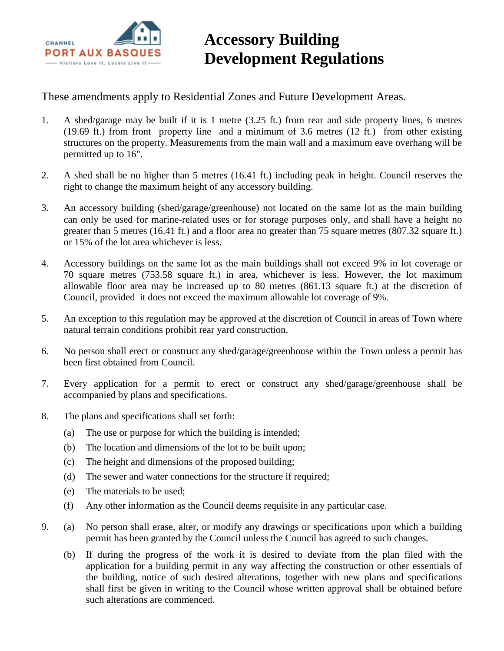

## **Accessory Building Development Regulations**

These amendments apply to Residential Zones and Future Development Areas.

- 1. A shed/garage may be built if it is 1 metre (3.25 ft.) from rear and side property lines, 6 metres (19.69 ft.) from front property line and a minimum of 3.6 metres (12 ft.) from other existing structures on the property. Measurements from the main wall and a maximum eave overhang will be permitted up to 16".
- 2. A shed shall be no higher than 5 metres (16.41 ft.) including peak in height. Council reserves the right to change the maximum height of any accessory building.
- 3. An accessory building (shed/garage/greenhouse) not located on the same lot as the main building can only be used for marine-related uses or for storage purposes only, and shall have a height no greater than 5 metres (16.41 ft.) and a floor area no greater than 75 square metres (807.32 square ft.) or 15% of the lot area whichever is less.
- 4. Accessory buildings on the same lot as the main buildings shall not exceed 9% in lot coverage or 70 square metres (753.58 square ft.) in area, whichever is less. However, the lot maximum allowable floor area may be increased up to 80 metres (861.13 square ft.) at the discretion of Council, provided it does not exceed the maximum allowable lot coverage of 9%.
- 5. An exception to this regulation may be approved at the discretion of Council in areas of Town where natural terrain conditions prohibit rear yard construction.
- 6. No person shall erect or construct any shed/garage/greenhouse within the Town unless a permit has been first obtained from Council.
- 7. Every application for a permit to erect or construct any shed/garage/greenhouse shall be accompanied by plans and specifications.
- 8. The plans and specifications shall set forth:
	- (a) The use or purpose for which the building is intended;
	- (b) The location and dimensions of the lot to be built upon;
	- (c) The height and dimensions of the proposed building;
	- (d) The sewer and water connections for the structure if required;
	- (e) The materials to be used;
	- (f) Any other information as the Council deems requisite in any particular case.
- 9. (a) No person shall erase, alter, or modify any drawings or specifications upon which a building permit has been granted by the Council unless the Council has agreed to such changes.
	- (b) If during the progress of the work it is desired to deviate from the plan filed with the application for a building permit in any way affecting the construction or other essentials of the building, notice of such desired alterations, together with new plans and specifications shall first be given in writing to the Council whose written approval shall be obtained before such alterations are commenced.